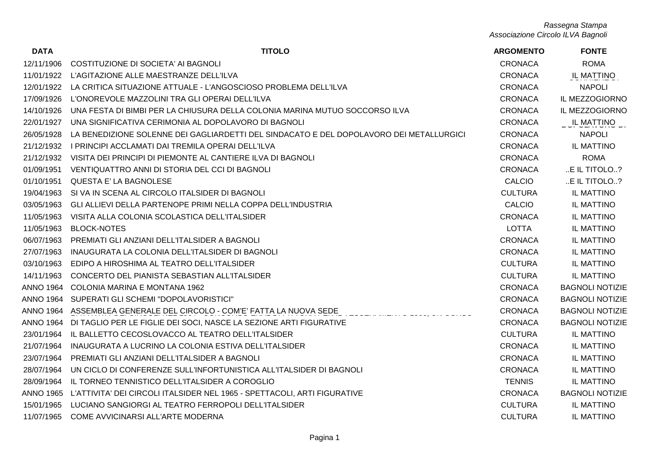| <b>DATA</b> | <b>TITOLO</b>                                                                           | <b>ARGOMENTO</b> | <b>FONTE</b>           |
|-------------|-----------------------------------------------------------------------------------------|------------------|------------------------|
| 12/11/1906  | COSTITUZIONE DI SOCIETA' AI BAGNOLI                                                     | <b>CRONACA</b>   | <b>ROMA</b>            |
| 11/01/1922  | L'AGITAZIONE ALLE MAESTRANZE DELL'ILVA                                                  | <b>CRONACA</b>   | IL MATTINO             |
| 12/01/1922  | LA CRITICA SITUAZIONE ATTUALE - L'ANGOSCIOSO PROBLEMA DELL'ILVA                         | <b>CRONACA</b>   | <b>NAPOLI</b>          |
| 17/09/1926  | L'ONOREVOLE MAZZOLINI TRA GLI OPERAI DELL'ILVA                                          | <b>CRONACA</b>   | IL MEZZOGIORNO         |
| 14/10/1926  | UNA FESTA DI BIMBI PER LA CHIUSURA DELLA COLONIA MARINA MUTUO SOCCORSO ILVA             | <b>CRONACA</b>   | IL MEZZOGIORNO         |
| 22/01/1927  | UNA SIGNIFICATIVA CERIMONIA AL DOPOLAVORO DI BAGNOLI                                    | <b>CRONACA</b>   | IL MATTINO             |
| 26/05/1928  | LA BENEDIZIONE SOLENNE DEI GAGLIARDETTI DEL SINDACATO E DEL DOPOLAVORO DEI METALLURGICI | <b>CRONACA</b>   | <b>NAPOLI</b>          |
| 21/12/1932  | I PRINCIPI ACCLAMATI DAI TREMILA OPERAI DELL'ILVA                                       | <b>CRONACA</b>   | <b>IL MATTINO</b>      |
| 21/12/1932  | VISITA DEI PRINCIPI DI PIEMONTE AL CANTIERE ILVA DI BAGNOLI                             | <b>CRONACA</b>   | <b>ROMA</b>            |
| 01/09/1951  | VENTIQUATTRO ANNI DI STORIA DEL CCI DI BAGNOLI                                          | <b>CRONACA</b>   | E IL TITOLO?           |
| 01/10/1951  | QUESTA E' LA BAGNOLESE                                                                  | <b>CALCIO</b>    | E IL TITOLO?           |
| 19/04/1963  | SI VA IN SCENA AL CIRCOLO ITALSIDER DI BAGNOLI                                          | <b>CULTURA</b>   | <b>IL MATTINO</b>      |
| 03/05/1963  | GLI ALLIEVI DELLA PARTENOPE PRIMI NELLA COPPA DELL'INDUSTRIA                            | <b>CALCIO</b>    | IL MATTINO             |
| 11/05/1963  | VISITA ALLA COLONIA SCOLASTICA DELL'ITALSIDER                                           | <b>CRONACA</b>   | <b>IL MATTINO</b>      |
| 11/05/1963  | <b>BLOCK-NOTES</b>                                                                      | LOTTA            | <b>IL MATTINO</b>      |
| 06/07/1963  | PREMIATI GLI ANZIANI DELL'ITALSIDER A BAGNOLI                                           | <b>CRONACA</b>   | IL MATTINO             |
| 27/07/1963  | INAUGURATA LA COLONIA DELL'ITALSIDER DI BAGNOLI                                         | <b>CRONACA</b>   | <b>IL MATTINO</b>      |
| 03/10/1963  | EDIPO A HIROSHIMA AL TEATRO DELL'ITALSIDER                                              | <b>CULTURA</b>   | <b>IL MATTINO</b>      |
| 14/11/1963  | CONCERTO DEL PIANISTA SEBASTIAN ALL'ITALSIDER                                           | <b>CULTURA</b>   | <b>IL MATTINO</b>      |
| ANNO 1964   | COLONIA MARINA E MONTANA 1962                                                           | <b>CRONACA</b>   | <b>BAGNOLI NOTIZIE</b> |
| ANNO 1964   | SUPERATI GLI SCHEMI "DOPOLAVORISTICI"                                                   | <b>CRONACA</b>   | <b>BAGNOLI NOTIZIE</b> |
| ANNO 1964   | ASSEMBLEA GENERALE DEL CIRCOLO - COM'E' FATTA LA NUOVA SEDE                             | <b>CRONACA</b>   | <b>BAGNOLI NOTIZIE</b> |
| ANNO 1964   | DI TAGLIO PER LE FIGLIE DEI SOCI, NASCE LA SEZIONE ARTI FIGURATIVE                      | <b>CRONACA</b>   | <b>BAGNOLI NOTIZIE</b> |
| 23/01/1964  | IL BALLETTO CECOSLOVACCO AL TEATRO DELL'ITALSIDER                                       | <b>CULTURA</b>   | <b>IL MATTINO</b>      |
| 21/07/1964  | INAUGURATA A LUCRINO LA COLONIA ESTIVA DELL'ITALSIDER                                   | <b>CRONACA</b>   | <b>IL MATTINO</b>      |
| 23/07/1964  | PREMIATI GLI ANZIANI DELL'ITALSIDER A BAGNOLI                                           | <b>CRONACA</b>   | <b>IL MATTINO</b>      |
| 28/07/1964  | UN CICLO DI CONFERENZE SULL'INFORTUNISTICA ALL'ITALSIDER DI BAGNOLI                     | <b>CRONACA</b>   | <b>IL MATTINO</b>      |
| 28/09/1964  | IL TORNEO TENNISTICO DELL'ITALSIDER A COROGLIO                                          | <b>TENNIS</b>    | IL MATTINO             |
| ANNO 1965   | L'ATTIVITA' DEI CIRCOLI ITALSIDER NEL 1965 - SPETTACOLI, ARTI FIGURATIVE                | <b>CRONACA</b>   | <b>BAGNOLI NOTIZIE</b> |
| 15/01/1965  | LUCIANO SANGIORGI AL TEATRO FERROPOLI DELL'ITALSIDER                                    | <b>CULTURA</b>   | <b>IL MATTINO</b>      |
| 11/07/1965  | COME AVVICINARSI ALL'ARTE MODERNA                                                       | <b>CULTURA</b>   | IL MATTINO             |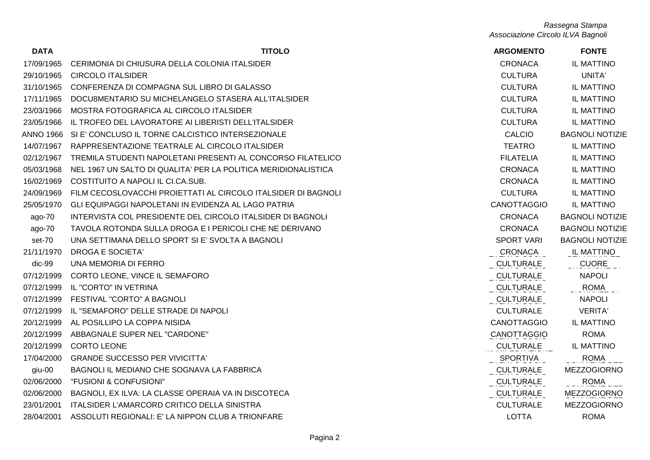| <b>DATA</b>      | <b>TITOLO</b>                                                  | <b>ARGOMENTO</b>   | <b>FONTE</b>           |
|------------------|----------------------------------------------------------------|--------------------|------------------------|
| 17/09/1965       | CERIMONIA DI CHIUSURA DELLA COLONIA ITALSIDER                  | <b>CRONACA</b>     | <b>IL MATTINO</b>      |
| 29/10/1965       | <b>CIRCOLO ITALSIDER</b>                                       | <b>CULTURA</b>     | UNITA'                 |
| 31/10/1965       | CONFERENZA DI COMPAGNA SUL LIBRO DI GALASSO                    | <b>CULTURA</b>     | <b>IL MATTINO</b>      |
| 17/11/1965       | DOCU8MENTARIO SU MICHELANGELO STASERA ALL'ITALSIDER            | <b>CULTURA</b>     | IL MATTINO             |
| 23/03/1966       | MOSTRA FOTOGRAFICA AL CIRCOLO ITALSIDER                        | <b>CULTURA</b>     | IL MATTINO             |
| 23/05/1966       | <u>IL TROFEO DEL LAVORATORE AI LIBERISTI DELL'ITALSIDER</u>    | <b>CULTURA</b>     | <b>IL MATTINO</b>      |
| <b>ANNO 1966</b> | SI E' CONCLUSO IL TORNE CALCISTICO INTERSEZIONALE              | <b>CALCIO</b>      | <b>BAGNOLI NOTIZIE</b> |
| 14/07/1967       | RAPPRESENTAZIONE TEATRALE AL CIRCOLO ITALSIDER                 | <b>TEATRO</b>      | <b>IL MATTINO</b>      |
| 02/12/1967       | TREMILA STUDENTI NAPOLETANI PRESENTI AL CONCORSO FILATELICO    | <b>FILATELIA</b>   | IL MATTINO             |
| 05/03/1968       | NEL 1967 UN SALTO DI QUALITA' PER LA POLITICA MERIDIONALISTICA | <b>CRONACA</b>     | IL MATTINO             |
| 16/02/1969       | COSTITUITO A NAPOLI IL CI.CA.SUB.                              | <b>CRONACA</b>     | <b>IL MATTINO</b>      |
| 24/09/1969       | FILM CECOSLOVACCHI PROIETTATI AL CIRCOLO ITALSIDER DI BAGNOLI  | <b>CULTURA</b>     | IL MATTINO             |
| 25/05/1970       | GLI EQUIPAGGI NAPOLETANI IN EVIDENZA AL LAGO PATRIA            | <b>CANOTTAGGIO</b> | <b>IL MATTINO</b>      |
| $ago-70$         | INTERVISTA COL PRESIDENTE DEL CIRCOLO ITALSIDER DI BAGNOLI     | <b>CRONACA</b>     | <b>BAGNOLI NOTIZIE</b> |
| $ago-70$         | TAVOLA ROTONDA SULLA DROGA E I PERICOLI CHE NE DERIVANO        | <b>CRONACA</b>     | <b>BAGNOLI NOTIZIE</b> |
| set-70           | UNA SETTIMANA DELLO SPORT SI E' SVOLTA A BAGNOLI               | <b>SPORT VARI</b>  | <b>BAGNOLI NOTIZIE</b> |
| 21/11/1970       | <b>DROGA E SOCIETA'</b>                                        | <b>CRONACA</b>     | IL MATTINO             |
| dic-99           | UNA MEMORIA DI FERRO                                           | <b>CULTURALE</b>   | <b>CUORE</b>           |
| 07/12/1999       | CORTO LEONE, VINCE IL SEMAFORO                                 | <b>CULTURALE</b>   | <b>NAPOLI</b>          |
| 07/12/1999       | IL "CORTO" IN VETRINA                                          | <b>CULTURALE</b>   | ROMA                   |
| 07/12/1999       | FESTIVAL "CORTO" A BAGNOLI                                     | <b>CULTURALE</b>   | <b>NAPOLI</b>          |
| 07/12/1999       | IL "SEMAFORO" DELLE STRADE DI NAPOLI                           | <b>CULTURALE</b>   | VERITA'                |
| 20/12/1999       | AL POSILLIPO LA COPPA NISIDA                                   | <b>CANOTTAGGIO</b> | <b>IL MATTINO</b>      |
| 20/12/1999       | ABBAGNALE SUPER NEL "CARDONE"                                  | <b>CANOTTAGGIO</b> | <b>ROMA</b>            |
| 20/12/1999       | <b>CORTO LEONE</b>                                             | <b>CULTURALE</b>   | IL MATTINO             |
| 17/04/2000       | <b>GRANDE SUCCESSO PER VIVICITTA'</b>                          | SPORTIVA           | <b>ROMA</b>            |
| giu-00           | BAGNOLI IL MEDIANO CHE SOGNAVA LA FABBRICA                     | <b>CULTURALE</b>   | <b>MEZZOGIORNO</b>     |
| 02/06/2000       | "FUSIONI & CONFUSIONI"                                         | <b>CULTURALE</b>   | <b>ROMA</b>            |
| 02/06/2000       | BAGNOLI, EX ILVA: LA CLASSE OPERAIA VA IN DISCOTECA            | <b>CULTURALE</b>   | <b>MEZZOGIORNO</b>     |
| 23/01/2001       | ITALSIDER L'AMARCORD CRITICO DELLA SINISTRA                    | <b>CULTURALE</b>   | <b>MEZZOGIORNO</b>     |
| 28/04/2001       | ASSOLUTI REGIONALI: E' LA NIPPON CLUB A TRIONFARE              | <b>LOTTA</b>       | <b>ROMA</b>            |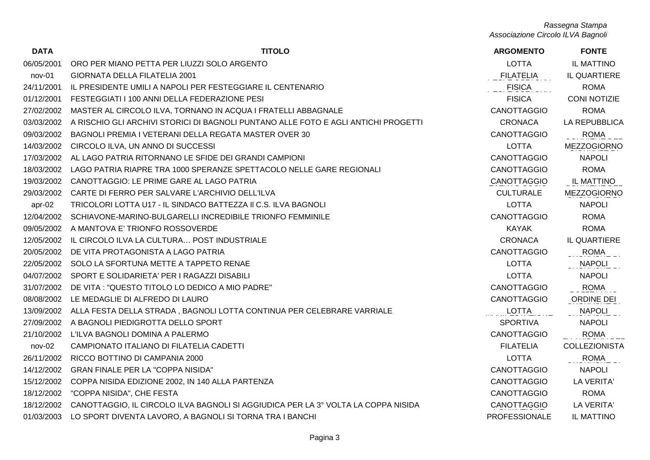| <b>DATA</b> | <b>TITOLO</b>                                                                      | <b>ARGOMENTO</b>     | <b>FONTE</b>         |
|-------------|------------------------------------------------------------------------------------|----------------------|----------------------|
| 06/05/2001  | ORO PER MIANO PETTA PER LIUZZI SOLO ARGENTO                                        | <b>LOTTA</b>         | IL MATTINO           |
| nov-01      | <b>GIORNATA DELLA FILATELIA 2001</b>                                               | FILATELIA            | IL QUARTIERE         |
| 24/11/2001  | IL PRESIDENTE UMILI A NAPOLI PER FESTEGGIARE IL CENTENARIO                         | <b>FISICA</b>        | <b>ROMA</b>          |
| 01/12/2001  | FESTEGGIATI I 100 ANNI DELLA FEDERAZIONE PESI                                      | <b>FISICA</b>        | <b>CONINOTIZIE</b>   |
| 27/02/2002  | MASTER AL CIRCOLO ILVA, TORNANO IN ACQUA I FRATELLI ABBAGNALE                      | CANOTTAGGIO          | <b>ROMA</b>          |
| 03/03/2002  | A RISCHIO GLI ARCHIVI STORICI DI BAGNOLI PUNTANO ALLE FOTO E AGLI ANTICHI PROGETTI | <b>CRONACA</b>       | <b>LA REPUBBLICA</b> |
| 09/03/2002  | BAGNOLI PREMIA I VETERANI DELLA REGATA MASTER OVER 30                              | <b>CANOTTAGGIO</b>   | <b>ROMA</b>          |
| 14/03/2002  | CIRCOLO ILVA, UN ANNO DI SUCCESSI                                                  | <b>LOTTA</b>         | <b>MEZZOGIORNO</b>   |
| 17/03/2002  | AL LAGO PATRIA RITORNANO LE SFIDE DEI GRANDI CAMPIONI                              | <b>CANOTTAGGIO</b>   | <b>NAPOLI</b>        |
| 18/03/2002  | LAGO PATRIA RIAPRE TRA 1000 SPERANZE SPETTACOLO NELLE GARE REGIONALI               | CANOTTAGGIO          | <b>ROMA</b>          |
| 19/03/2002  | CANOTTAGGIO: LE PRIME GARE AL LAGO PATRIA                                          | CANOTTAGGIO          | IL MATTINO           |
| 29/03/2002  | CARTE DI FERRO PER SALVARE L'ARCHIVIO DELL'ILVA                                    | <b>CULTURALE</b>     | <b>MEZZOGIORNO</b>   |
| $apr-02$    | TRICOLORI LOTTA U17 - IL SINDACO BATTEZZA II C.S. ILVA BAGNOLI                     | <b>LOTTA</b>         | <b>NAPOLI</b>        |
| 12/04/2002  | SCHIAVONE-MARINO-BULGARELLI INCREDIBILE TRIONFO FEMMINILE                          | <b>CANOTTAGGIO</b>   | <b>ROMA</b>          |
| 09/05/2002  | A MANTOVA E' TRIONFO ROSSOVERDE                                                    | KAYAK                | <b>ROMA</b>          |
| 12/05/2002  | IL CIRCOLO ILVA LA CULTURA POST INDUSTRIALE                                        | <b>CRONACA</b>       | IL QUARTIERE         |
| 20/05/2002  | DE VITA PROTAGONISTA A LAGO PATRIA                                                 | <b>CANOTTAGGIO</b>   | ROMA                 |
| 22/05/2002  | SOLO LA SFORTUNA METTE A TAPPETO RENAE                                             | <b>LOTTA</b>         | <b>NAPOLI</b>        |
|             | 04/07/2002 SPORT E SOLIDARIETA' PER I RAGAZZI DISABILI                             | <b>LOTTA</b>         | <b>NAPOLI</b>        |
| 31/07/2002  | DE VITA : "QUESTO TITOLO LO DEDICO A MIO PADRE"                                    | <b>CANOTTAGGIO</b>   | <b>ROMA</b>          |
| 08/08/2002  | LE MEDAGLIE DI ALFREDO DI LAURO                                                    | <b>CANOTTAGGIO</b>   | ORDINE DEL           |
| 13/09/2002  | ALLA FESTA DELLA STRADA, BAGNOLI LOTTA CONTINUA PER CELEBRARE VARRIALE             | <b>LOTTA</b>         | <b>NAPOLI</b>        |
| 27/09/2002  | A BAGNOLI PIEDIGROTTA DELLO SPORT                                                  | <b>SPORTIVA</b>      | <b>NAPOLI</b>        |
| 21/10/2002  | L'ILVA BAGNOLI DOMINA A PALERMO                                                    | <b>CANOTTAGGIO</b>   | <b>ROMA</b>          |
| nov-02      | CAMPIONATO ITALIANO DI FILATELIA CADETTI                                           | <b>FILATELIA</b>     | <b>COLLEZIONISTA</b> |
| 26/11/2002  | RICCO BOTTINO DI CAMPANIA 2000                                                     | <b>LOTTA</b>         | ROMA                 |
| 14/12/2002  | <b>GRAN FINALE PER LA "COPPA NISIDA"</b>                                           | CANOTTAGGIO          | <b>NAPOLI</b>        |
| 15/12/2002  | COPPA NISIDA EDIZIONE 2002, IN 140 ALLA PARTENZA                                   | CANOTTAGGIO          | LA VERITA'           |
| 18/12/2002  | "COPPA NISIDA", CHE FESTA                                                          | CANOTTAGGIO          | <b>ROMA</b>          |
| 18/12/2002  | CANOTTAGGIO, IL CIRCOLO ILVA BAGNOLI SI AGGIUDICA PER LA 3° VOLTA LA COPPA NISIDA  | CANOTTAGGIO          | LA VERITA'           |
| 01/03/2003  | LO SPORT DIVENTA LAVORO, A BAGNOLI SI TORNA TRA I BANCHI                           | <b>PROFESSIONALE</b> | IL MATTINO           |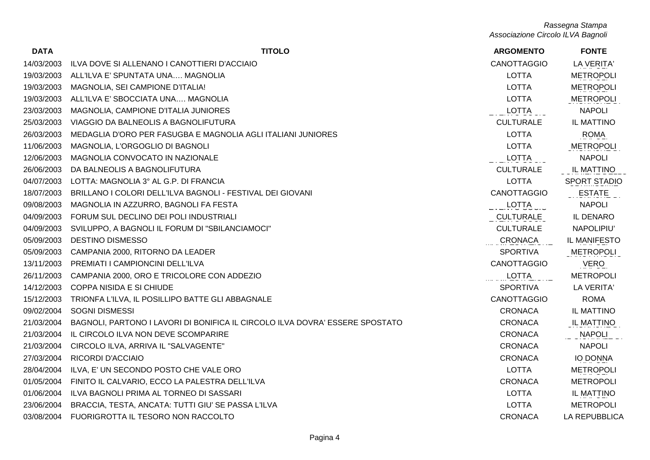| <b>DATA</b> | <b>TITOLO</b>                                                                | <b>ARGOMENTO</b>   | <b>FONTE</b>      |
|-------------|------------------------------------------------------------------------------|--------------------|-------------------|
| 14/03/2003  | ILVA DOVE SI ALLENANO I CANOTTIERI D'ACCIAIO                                 | <b>CANOTTAGGIO</b> | LA VERITA'        |
| 19/03/2003  | ALL'ILVA E' SPUNTATA UNA MAGNOLIA                                            | <b>LOTTA</b>       | <b>METROPOLI</b>  |
| 19/03/2003  | MAGNOLIA, SEI CAMPIONE D'ITALIA!                                             | <b>LOTTA</b>       | <b>METROPOLI</b>  |
| 19/03/2003  | ALL'ILVA E' SBOCCIATA UNA MAGNOLIA                                           | <b>LOTTA</b>       | <b>METROPOLI</b>  |
| 23/03/2003  | MAGNOLIA, CAMPIONE D'ITALIA JUNIORES                                         | LOTTA              | <b>NAPOLI</b>     |
| 25/03/2003  | VIAGGIO DA BALNEOLIS A BAGNOLIFUTURA                                         | <b>CULTURALE</b>   | <b>IL MATTINO</b> |
| 26/03/2003  | MEDAGLIA D'ORO PER FASUGBA E MAGNOLIA AGLI ITALIANI JUNIORES                 | <b>LOTTA</b>       | <b>ROMA</b>       |
| 11/06/2003  | MAGNOLIA, L'ORGOGLIO DI BAGNOLI                                              | LOTTA              | METROPOLI         |
| 12/06/2003  | MAGNOLIA CONVOCATO IN NAZIONALE                                              | LOTTA              | <b>NAPOLI</b>     |
| 26/06/2003  | DA BALNEOLIS A BAGNOLIFUTURA                                                 | <b>CULTURALE</b>   | IL MATTINO        |
| 04/07/2003  | LOTTA: MAGNOLIA 3° AL G.P. DI FRANCIA                                        | <b>LOTTA</b>       | SPORT STADIO      |
| 18/07/2003  | BRILLANO I COLORI DELL'ILVA BAGNOLI - FESTIVAL DEI GIOVANI                   | <b>CANOTTAGGIO</b> | <b>ESTATE</b>     |
| 09/08/2003  | MAGNOLIA IN AZZURRO, BAGNOLI FA FESTA                                        | LOTTA              | <b>NAPOLI</b>     |
| 04/09/2003  | FORUM SUL DECLINO DEI POLI INDUSTRIALI                                       | CULTURALE          | IL DENARO         |
| 04/09/2003  | SVILUPPO, A BAGNOLI IL FORUM DI "SBILANCIAMOCI"                              | <b>CULTURALE</b>   | NAPOLIPIU'        |
| 05/09/2003  | <b>DESTINO DISMESSO</b>                                                      | CRONACA            | IL MANIFESTO      |
| 05/09/2003  | CAMPANIA 2000, RITORNO DA LEADER                                             | <b>SPORTIVA</b>    | <b>METROPOLI</b>  |
| 13/11/2003  | PREMIATI I CAMPIONCINI DELL'ILVA                                             | <b>CANOTTAGGIO</b> | VERO              |
| 26/11/2003  | CAMPANIA 2000, ORO E TRICOLORE CON ADDEZIO                                   | LOTTA              | <b>METROPOLI</b>  |
| 14/12/2003  | COPPA NISIDA E SI CHIUDE                                                     | <b>SPORTIVA</b>    | LA VERITA'        |
| 15/12/2003  | TRIONFA L'ILVA, IL POSILLIPO BATTE GLI ABBAGNALE                             | <b>CANOTTAGGIO</b> | <b>ROMA</b>       |
| 09/02/2004  | <b>SOGNI DISMESSI</b>                                                        | <b>CRONACA</b>     | IL MATTINO        |
| 21/03/2004  | BAGNOLI, PARTONO I LAVORI DI BONIFICA IL CIRCOLO ILVA DOVRA' ESSERE SPOSTATO | <b>CRONACA</b>     | IL MATTINO        |
| 21/03/2004  | IL CIRCOLO ILVA NON DEVE SCOMPARIRE                                          | <b>CRONACA</b>     | <b>NAPOLI</b>     |
| 21/03/2004  | CIRCOLO ILVA, ARRIVA IL "SALVAGENTE"                                         | <b>CRONACA</b>     | <b>NAPOLI</b>     |
| 27/03/2004  | RICORDI D'ACCIAIO                                                            | <b>CRONACA</b>     | IO DONNA          |
| 28/04/2004  | ILVA, E' UN SECONDO POSTO CHE VALE ORO                                       | LOTTA              | <b>METROPOLI</b>  |
| 01/05/2004  | FINITO IL CALVARIO, ECCO LA PALESTRA DELL'ILVA                               | <b>CRONACA</b>     | <b>METROPOLI</b>  |
| 01/06/2004  | ILVA BAGNOLI PRIMA AL TORNEO DI SASSARI                                      | <b>LOTTA</b>       | IL MATTINO        |
| 23/06/2004  | BRACCIA, TESTA, ANCATA: TUTTI GIU' SE PASSA L'ILVA                           | <b>LOTTA</b>       | <b>METROPOLI</b>  |
| 03/08/2004  | FUORIGROTTA IL TESORO NON RACCOLTO                                           | <b>CRONACA</b>     | LA REPUBBLICA     |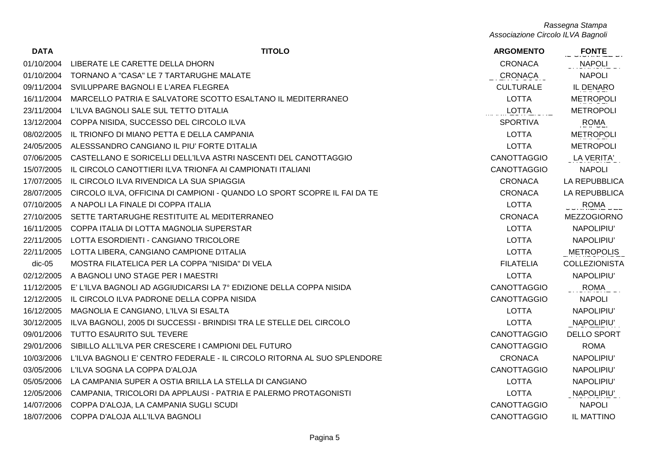| <b>DATA</b> | <b>TITOLO</b>                                                            | <b>ARGOMENTO</b>   | <b>FONTE</b>         |
|-------------|--------------------------------------------------------------------------|--------------------|----------------------|
| 01/10/2004  | LIBERATE LE CARETTE DELLA DHORN                                          | <b>CRONACA</b>     | <b>NAPOLI</b>        |
| 01/10/2004  | TORNANO A "CASA" LE 7 TARTARUGHE MALATE                                  | CRONACA            | <b>NAPOLI</b>        |
| 09/11/2004  | SVILUPPARE BAGNOLI E L'AREA FLEGREA                                      | <b>CULTURALE</b>   | IL DENARO            |
| 16/11/2004  | MARCELLO PATRIA E SALVATORE SCOTTO ESALTANO IL MEDITERRANEO              | LOTTA              | <b>METROPOLI</b>     |
| 23/11/2004  | L'ILVA BAGNOLI SALE SUL TETTO D'ITALIA                                   | LOTTA              | <b>METROPOLI</b>     |
| 13/12/2004  | COPPA NISIDA, SUCCESSO DEL CIRCOLO ILVA                                  | <b>SPORTIVA</b>    | <b>ROMA</b>          |
| 08/02/2005  | IL TRIONFO DI MIANO PETTA E DELLA CAMPANIA                               | LOTTA              | <b>METROPOLI</b>     |
| 24/05/2005  | ALESSSANDRO CANGIANO IL PIU' FORTE D'ITALIA                              | LOTTA              | <b>METROPOLI</b>     |
| 07/06/2005  | CASTELLANO E SORICELLI DELL'ILVA ASTRI NASCENTI DEL CANOTTAGGIO          | <b>CANOTTAGGIO</b> | LA VERITA'           |
| 15/07/2005  | IL CIRCOLO CANOTTIERI ILVA TRIONFA AI CAMPIONATI ITALIANI                | <b>CANOTTAGGIO</b> | <b>NAPOLI</b>        |
| 17/07/2005  | IL CIRCOLO ILVA RIVENDICA LA SUA SPIAGGIA                                | <b>CRONACA</b>     | LA REPUBBLICA        |
| 28/07/2005  | CIRCOLO ILVA, OFFICINA DI CAMPIONI - QUANDO LO SPORT SCOPRE IL FAI DA TE | <b>CRONACA</b>     | <b>LA REPUBBLICA</b> |
| 07/10/2005  | A NAPOLI LA FINALE DI COPPA ITALIA                                       | LOTTA              | <b>ROMA</b>          |
| 27/10/2005  | SETTE TARTARUGHE RESTITUITE AL MEDITERRANEO                              | <b>CRONACA</b>     | <b>MEZZOGIORNO</b>   |
| 16/11/2005  | COPPA ITALIA DI LOTTA MAGNOLIA SUPERSTAR                                 | LOTTA              | NAPOLIPIU'           |
| 22/11/2005  | LOTTA ESORDIENTI - CANGIANO TRICOLORE                                    | LOTTA              | NAPOLIPIU'           |
| 22/11/2005  | LOTTA LIBERA, CANGIANO CAMPIONE D'ITALIA                                 | LOTTA              | METROPOLIS           |
| $dic-05$    | MOSTRA FILATELICA PER LA COPPA "NISIDA" DI VELA                          | <b>FILATELIA</b>   | <b>COLLEZIONISTA</b> |
|             | 02/12/2005 A BAGNOLI UNO STAGE PER I MAESTRI                             | LOTTA              | NAPOLIPIU'           |
| 11/12/2005  | E' L'ILVA BAGNOLI AD AGGIUDICARSI LA 7° EDIZIONE DELLA COPPA NISIDA      | <b>CANOTTAGGIO</b> | ROMA                 |
| 12/12/2005  | IL CIRCOLO ILVA PADRONE DELLA COPPA NISIDA                               | <b>CANOTTAGGIO</b> | <b>NAPOLI</b>        |
| 16/12/2005  | MAGNOLIA E CANGIANO, L'ILVA SI ESALTA                                    | LOTTA              | NAPOLIPIU'           |
| 30/12/2005  | ILVA BAGNOLI, 2005 DI SUCCESSI - BRINDISI TRA LE STELLE DEL CIRCOLO      | LOTTA              | NAPOLIPIU'           |
| 09/01/2006  | <b>TUTTO ESAURITO SUL TEVERE</b>                                         | <b>CANOTTAGGIO</b> | DELLO SPORT          |
| 29/01/2006  | SIBILLO ALL'ILVA PER CRESCERE I CAMPIONI DEL FUTURO                      | <b>CANOTTAGGIO</b> | <b>ROMA</b>          |
| 10/03/2006  | L'ILVA BAGNOLI E' CENTRO FEDERALE - IL CIRCOLO RITORNA AL SUO SPLENDORE  | <b>CRONACA</b>     | NAPOLIPIU'           |
| 03/05/2006  | L'ILVA SOGNA LA COPPA D'ALOJA                                            | <b>CANOTTAGGIO</b> | NAPOLIPIU'           |
| 05/05/2006  | LA CAMPANIA SUPER A OSTIA BRILLA LA STELLA DI CANGIANO                   | LOTTA              | NAPOLIPIU'           |
| 12/05/2006  | CAMPANIA, TRICOLORI DA APPLAUSI - PATRIA E PALERMO PROTAGONISTI          | <b>LOTTA</b>       | NAPOLIPIU'           |
| 14/07/2006  | COPPA D'ALOJA, LA CAMPANIA SUGLI SCUDI                                   | <b>CANOTTAGGIO</b> | <b>NAPOLI</b>        |
| 18/07/2006  | COPPA D'ALOJA ALL'ILVA BAGNOLI                                           | <b>CANOTTAGGIO</b> | <b>IL MATTINO</b>    |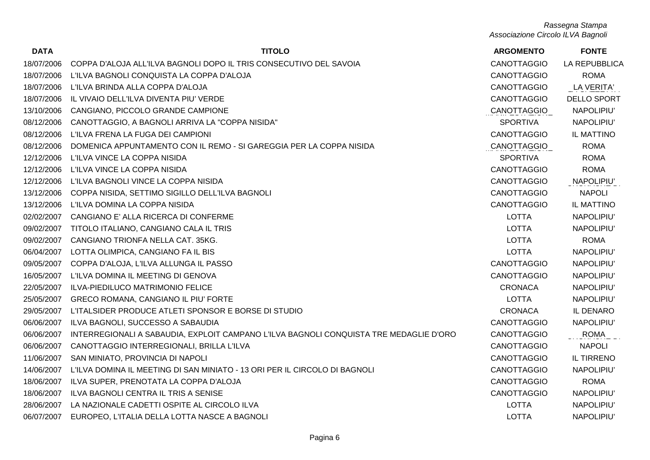| <b>DATA</b> | <b>TITOLO</b>                                                                          | <b>ARGOMENTO</b>   | <b>FONTE</b>       |
|-------------|----------------------------------------------------------------------------------------|--------------------|--------------------|
| 18/07/2006  | COPPA D'ALOJA ALL'ILVA BAGNOLI DOPO IL TRIS CONSECUTIVO DEL SAVOIA                     | <b>CANOTTAGGIO</b> | LA REPUBBLICA      |
| 18/07/2006  | L'ILVA BAGNOLI CONQUISTA LA COPPA D'ALOJA                                              | <b>CANOTTAGGIO</b> | <b>ROMA</b>        |
| 18/07/2006  | L'ILVA BRINDA ALLA COPPA D'ALOJA                                                       | <b>CANOTTAGGIO</b> | LA VERITA'         |
| 18/07/2006  | IL VIVAIO DELL'ILVA DIVENTA PIU' VERDE                                                 | <b>CANOTTAGGIO</b> | <b>DELLO SPORT</b> |
| 13/10/2006  | CANGIANO, PICCOLO GRANDE CAMPIONE                                                      | CANOTTAGGIO        | NAPOLIPIU'         |
| 08/12/2006  | CANOTTAGGIO, A BAGNOLI ARRIVA LA "COPPA NISIDA"                                        | <b>SPORTIVA</b>    | NAPOLIPIU'         |
| 08/12/2006  | L'ILVA FRENA LA FUGA DEI CAMPIONI                                                      | CANOTTAGGIO        | IL MATTINO         |
| 08/12/2006  | DOMENICA APPUNTAMENTO CON IL REMO - SI GAREGGIA PER LA COPPA NISIDA                    | CANOTTAGGIO        | <b>ROMA</b>        |
| 12/12/2006  | L'ILVA VINCE LA COPPA NISIDA                                                           | <b>SPORTIVA</b>    | <b>ROMA</b>        |
| 12/12/2006  | L'ILVA VINCE LA COPPA NISIDA                                                           | CANOTTAGGIO        | <b>ROMA</b>        |
| 12/12/2006  | L'ILVA BAGNOLI VINCE LA COPPA NISIDA                                                   | <b>CANOTTAGGIO</b> | NAPOLIPIU'         |
| 13/12/2006  | COPPA NISIDA, SETTIMO SIGILLO DELL'ILVA BAGNOLI                                        | <b>CANOTTAGGIO</b> | <b>NAPOLI</b>      |
| 13/12/2006  | L'ILVA DOMINA LA COPPA NISIDA                                                          | <b>CANOTTAGGIO</b> | IL MATTINO         |
| 02/02/2007  | CANGIANO E' ALLA RICERCA DI CONFERME                                                   | LOTTA              | NAPOLIPIU'         |
| 09/02/2007  | TITOLO ITALIANO, CANGIANO CALA IL TRIS                                                 | LOTTA              | NAPOLIPIU'         |
| 09/02/2007  | CANGIANO TRIONFA NELLA CAT. 35KG.                                                      | LOTTA              | <b>ROMA</b>        |
| 06/04/2007  | LOTTA OLIMPICA, CANGIANO FA IL BIS                                                     | LOTTA              | NAPOLIPIU'         |
| 09/05/2007  | COPPA D'ALOJA, L'ILVA ALLUNGA IL PASSO                                                 | <b>CANOTTAGGIO</b> | NAPOLIPIU'         |
| 16/05/2007  | L'ILVA DOMINA IL MEETING DI GENOVA                                                     | <b>CANOTTAGGIO</b> | NAPOLIPIU'         |
| 22/05/2007  | ILVA-PIEDILUCO MATRIMONIO FELICE                                                       | <b>CRONACA</b>     | NAPOLIPIU'         |
| 25/05/2007  | <b>GRECO ROMANA, CANGIANO IL PIU' FORTE</b>                                            | LOTTA              | NAPOLIPIU'         |
| 29/05/2007  | L'ITALSIDER PRODUCE ATLETI SPONSOR E BORSE DI STUDIO                                   | <b>CRONACA</b>     | IL DENARO          |
| 06/06/2007  | ILVA BAGNOLI, SUCCESSO A SABAUDIA                                                      | <b>CANOTTAGGIO</b> | NAPOLIPIU'         |
| 06/06/2007  | INTERREGIONALI A SABAUDIA, EXPLOIT CAMPANO L'ILVA BAGNOLI CONQUISTA TRE MEDAGLIE D'ORO | CANOTTAGGIO        | ROMA               |
| 06/06/2007  | CANOTTAGGIO INTERREGIONALI, BRILLA L'ILVA                                              | <b>CANOTTAGGIO</b> | <b>NAPOLI</b>      |
| 11/06/2007  | SAN MINIATO, PROVINCIA DI NAPOLI                                                       | <b>CANOTTAGGIO</b> | <b>IL TIRRENO</b>  |
| 14/06/2007  | L'ILVA DOMINA IL MEETING DI SAN MINIATO - 13 ORI PER IL CIRCOLO DI BAGNOLI             | <b>CANOTTAGGIO</b> | NAPOLIPIU'         |
| 18/06/2007  | ILVA SUPER, PRENOTATA LA COPPA D'ALOJA                                                 | CANOTTAGGIO        | <b>ROMA</b>        |
| 18/06/2007  | ILVA BAGNOLI CENTRA IL TRIS A SENISE                                                   | <b>CANOTTAGGIO</b> | NAPOLIPIU'         |
| 28/06/2007  | LA NAZIONALE CADETTI OSPITE AL CIRCOLO ILVA                                            | <b>LOTTA</b>       | NAPOLIPIU'         |
|             | 06/07/2007 EUROPEO, L'ITALIA DELLA LOTTA NASCE A BAGNOLI                               | LOTTA              | NAPOLIPIU'         |